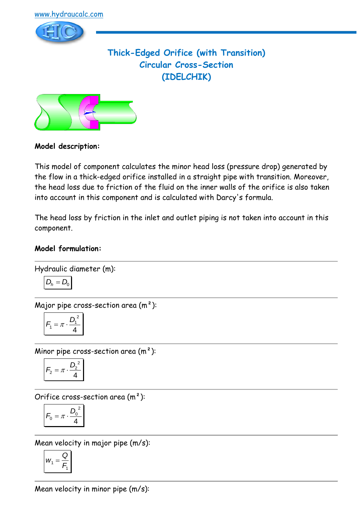

## **Thick-Edged Orifice (with Transition) Circular Cross-Section (IDELCHIK)**



### **Model description:**

This model of component calculates the minor head loss (pressure drop) generated by the flow in a thick-edged orifice installed in a straight pipe with transition. Moreover, the head loss due to friction of the fluid on the inner walls of the orifice is also taken into account in this component and is calculated with Darcy's formula.

The head loss by friction in the inlet and outlet piping is not taken into account in this component.

#### **Model formulation:**

Hydraulic diameter (m):

$$
D_h = D_0
$$

Major pipe cross-section area  $(m<sup>2</sup>)$ :

$$
F_1 = \pi \cdot \frac{D_1^2}{4}
$$

Minor pipe cross-section area  $(m<sup>2</sup>)$ :

$$
F_2 = \pi \cdot \frac{D_2^2}{4}
$$

Orifice cross-section area  $(m<sup>2</sup>)$ :

$$
F_0 = \pi \cdot \frac{D_0^2}{4}
$$

Mean velocity in major pipe (m/s):

$$
W_1 = \frac{Q}{F_1}
$$

Mean velocity in minor pipe (m/s):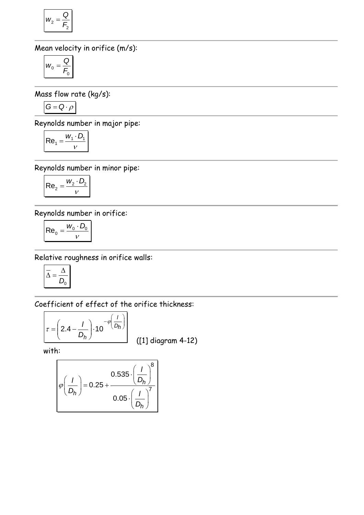$$
W_2 = \frac{Q}{F_2}
$$

Mean velocity in orifice (m/s):

$$
W_0 = \frac{Q}{F_0}
$$

Mass flow rate (kg/s):

$$
G = Q \cdot \rho
$$

 $\overline{a}$ 

Reynolds number in major pipe:

$$
Re_1 = \frac{W_1 \cdot D_1}{V}
$$

Reynolds number in minor pipe:

$$
Re_2 = \frac{W_2 \cdot D_2}{v}
$$

Reynolds number in orifice:

$$
\mathsf{Re}_0 = \frac{w_0 \cdot D_0}{v}
$$

Relative roughness in orifice walls:

$$
\overline{\Delta} = \frac{\Delta}{D_0}
$$

Coefficient of effect of the orifice thickness:

$$
\tau = \left(2.4 - \frac{I}{D_h}\right) \cdot 10^{-\varphi} \left(\frac{I}{D_h}\right)
$$

([1] diagram 4-12)

with:

$$
\varphi\left(\frac{I}{D_h}\right) = 0.25 + \frac{0.535 \cdot \left(\frac{I}{D_h}\right)^8}{0.05 \cdot \left(\frac{I}{D_h}\right)^7}
$$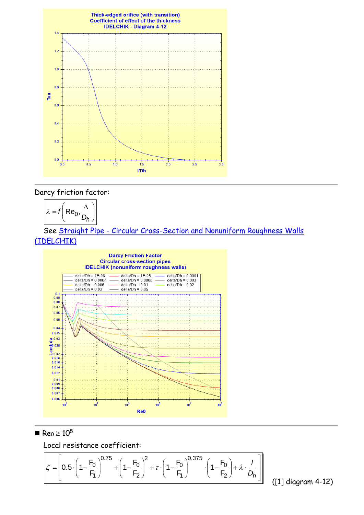

#### Darcy friction factor:



 See Straight Pipe - Circular [Cross-Section and Nonuniform Roughness Walls](../../Tuyau%20rectiligne/Tuyau%20rectiligne%20-%20Section%20circulaire/IDELCHIK%20(nonuniform%20roughness%20walls).htm)  [\(IDELCHIK\)](../../Tuyau%20rectiligne/Tuyau%20rectiligne%20-%20Section%20circulaire/IDELCHIK%20(nonuniform%20roughness%20walls).htm)



 $\blacksquare$  Re<sub>0</sub>  $\geq 10^5$ 

Local resistance coefficient:

$$
\text{Local resistance coefficient:}
$$
\n
$$
\zeta = \left[ 0.5 \cdot \left( 1 - \frac{F_0}{F_1} \right)^{0.75} + \left( 1 - \frac{F_0}{F_2} \right)^2 + \tau \cdot \left( 1 - \frac{F_0}{F_1} \right)^{0.375} \cdot \left( 1 - \frac{F_0}{F_2} \right) + \lambda \cdot \frac{I}{D_h} \right]
$$
\n(11) did

([1] diagram 4-12)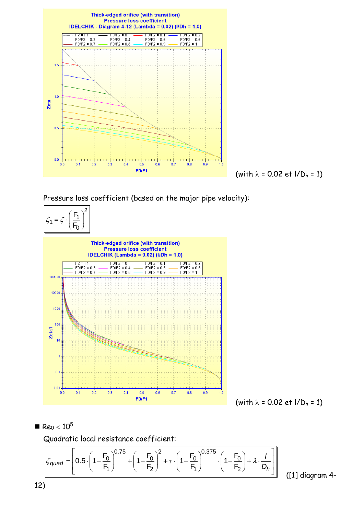



Pressure loss coefficient (based on the major pipe velocity):



 $Re_0 < 10^5$ 

Quadratic local resistance coefficient:

■ Re<sub>0</sub> < 10<sup>5</sup>  
Quadratic local resistance coefficient:  

$$
\int c_{quad} = \left[0.5 \cdot \left(1 - \frac{F_0}{F_1}\right)^{0.75} + \left(1 - \frac{F_0}{F_2}\right)^2 + \tau \cdot \left(1 - \frac{F_0}{F_1}\right)^{0.375} \cdot \left(1 - \frac{F_0}{F_2}\right) + \lambda \cdot \frac{1}{D_h}\right]
$$
(11) dia

([1] diagram 4-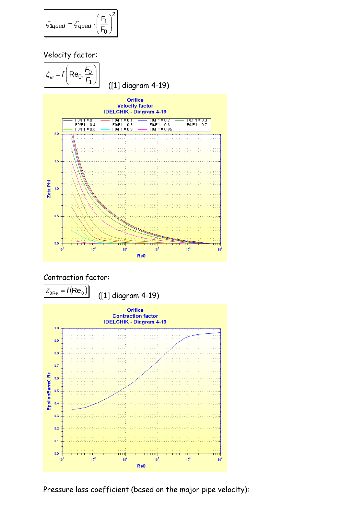$$
\mathcal{L}_{1quad} = \mathcal{L}_{quad} \cdot \left(\frac{F_1}{F_0}\right)^2
$$

### Velocity factor:



#### Contraction factor:



Pressure loss coefficient (based on the major pipe velocity):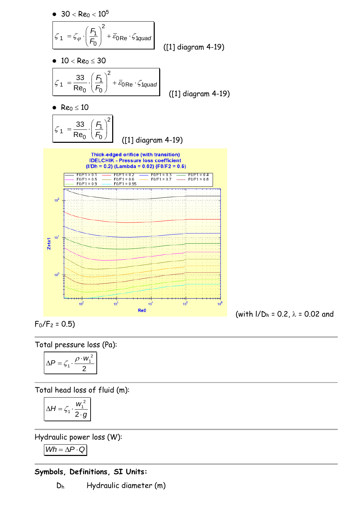

 $F_0/F_2 = 0.5$ 

Total pressure loss (Pa):

$$
\Delta P = \zeta_1 \cdot \frac{\rho \cdot w_1^2}{2}
$$

Total head loss of fluid (m):

$$
\Delta H = \zeta_1 \cdot \frac{w_1^2}{2 \cdot g}
$$

Hydraulic power loss (W):

 $Wh = \Delta P \cdot Q$ 

### **Symbols, Definitions, SI Units:**

D<sup>h</sup> Hydraulic diameter (m)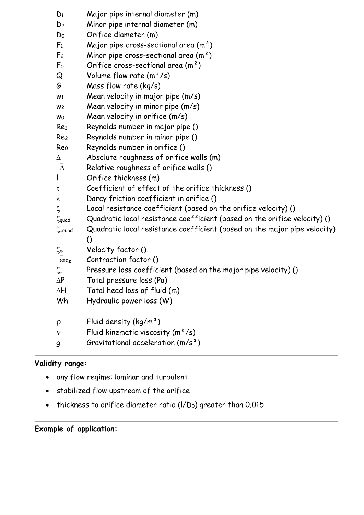| $D_1$                     | Major pipe internal diameter (m)                                          |
|---------------------------|---------------------------------------------------------------------------|
| D <sub>2</sub>            | Minor pipe internal diameter (m)                                          |
| D <sub>0</sub>            | Orifice diameter (m)                                                      |
| F <sub>1</sub>            | Major pipe cross-sectional area $(m^2)$                                   |
| F <sub>2</sub>            | Minor pipe cross-sectional area $(m2)$                                    |
| F <sub>0</sub>            | Orifice cross-sectional area $(m2)$                                       |
| Q                         | Volume flow rate $(m^3/s)$                                                |
| G                         | Mass flow rate (kg/s)                                                     |
| W <sub>1</sub>            | Mean velocity in major pipe (m/s)                                         |
| W <sub>2</sub>            | Mean velocity in minor pipe (m/s)                                         |
| Wo                        | Mean velocity in orifice (m/s)                                            |
| Re <sub>1</sub>           | Reynolds number in major pipe ()                                          |
| Re <sub>2</sub>           | Reynolds number in minor pipe ()                                          |
| Re <sub>0</sub>           | Reynolds number in orifice ()                                             |
| Δ                         | Absolute roughness of orifice walls (m)                                   |
| $\overline{\Delta}$       | Relative roughness of orifice walls ()                                    |
| $\mathsf{l}$              | Orifice thickness (m)                                                     |
| τ                         | Coefficient of effect of the orifice thickness ()                         |
| λ                         | Darcy friction coefficient in orifice ()                                  |
| $\zeta$                   | Local resistance coefficient (based on the orifice velocity) ()           |
| $\zeta$ quad              | Quadratic local resistance coefficient (based on the orifice velocity) () |
| $\zeta$ <sub>1</sub> quad | Quadratic local resistance coefficient (based on the major pipe velocity) |
|                           | O                                                                         |
| $\zeta_\phi$              | Velocity factor ()                                                        |
| E0Re                      | Contraction factor ()                                                     |
| $\zeta_1$                 | Pressure loss coefficient (based on the major pipe velocity) ()           |
| $\Delta P$                | Total pressure loss (Pa)                                                  |
| $\Delta H$                | Total head loss of fluid (m)                                              |
| Wh                        | Hydraulic power loss (W)                                                  |
| $\rho$                    | Fluid density $(kg/m^3)$                                                  |
| ν                         | Fluid kinematic viscosity $(m^2/s)$                                       |
| g                         | Gravitational acceleration $(m/s^2)$                                      |

# **Validity range:**

- any flow regime: laminar and turbulent
- stabilized flow upstream of the orifice
- thickness to orifice diameter ratio (I/D<sub>0</sub>) greater than 0.015

# **Example of application:**